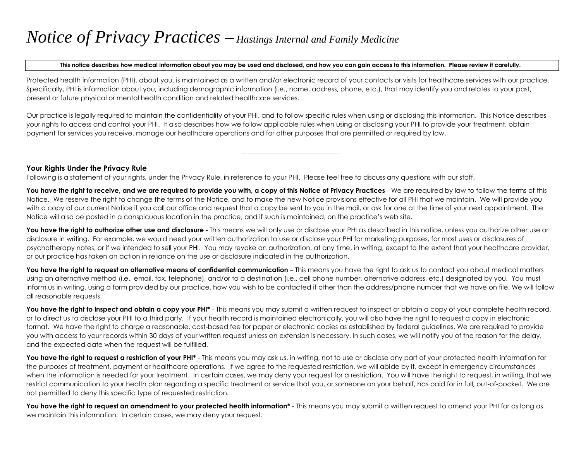# *Notice of Privacy Practices – Hastings Internal and Family Medicine*

#### **This notice describes how medical information about you may be used and disclosed, and how you can gain access to this information. Please review it carefully.**

Protected health information (PHI), about you, is maintained as a written and/or electronic record of your contacts or visits for healthcare services with our practice. Specifically, PHI is information about you, including demographic information (i.e., name, address, phone, etc.), that may identify you and relates to your past, present or future physical or mental health condition and related healthcare services.

Our practice is legally required to maintain the confidentiality of your PHI, and to follow specific rules when using or disclosing this information. This Notice describes your rights to access and control your PHI. It also describes how we follow applicable rules when using or disclosing your PHI to provide your treatment, obtain payment for services you receive, manage our healthcare operations and for other purposes that are permitted or required by law.

**\_\_\_\_\_\_\_\_\_\_\_\_\_\_\_\_\_\_\_\_\_\_\_\_\_\_\_\_\_\_\_\_\_**

### **Your Rights Under the Privacy Rule**

Following is a statement of your rights, under the Privacy Rule, in reference to your PHI. Please feel free to discuss any questions with our staff.

You have the right to receive, and we are required to provide you with, a copy of this Notice of Privacy Practices - We are required by law to follow the terms of this Notice. We reserve the right to change the terms of the Notice, and to make the new Notice provisions effective for all PHI that we maintain. We will provide you with a copy of our current Notice if you call our office and request that a copy be sent to you in the mail, or ask for one at the time of your next appointment. The Notice will also be posted in a conspicuous location in the practice, and if such is maintained, on the practice's web site.

You have the right to authorize other use and disclosure - This means we will only use or disclose your PHI as described in this notice, unless you authorize other use or disclosure in writing. For example, we would need your written authorization to use or disclose your PHI for marketing purposes, for most uses or disclosures of psychotherapy notes, or if we intended to sell your PHI. You may revoke an authorization, at any time, in writing, except to the extent that your healthcare provider, or our practice has taken an action in reliance on the use or disclosure indicated in the authorization.

You have the right to request an alternative means of confidential communication – This means you have the right to ask us to contact you about medical matters using an alternative method (i.e., email, fax, telephone), and/or to a destination (i.e., cell phone number, alternative address, etc.) designated by you. You must inform us in writing, using a form provided by our practice, how you wish to be contacted if other than the address/phone number that we have on file. We will follow all reasonable requests.

You have the right to inspect and obtain a copy your PHI<sup>\*</sup> - This means you may submit a written request to inspect or obtain a copy of your complete health record, or to direct us to disclose your PHI to a third party. If your health record is maintained electronically, you will also have the right to request a copy in electronic format. We have the right to charge a reasonable, cost-based fee for paper or electronic copies as established by federal guidelines. We are required to provide you with access to your records within 30 days of your written request unless an extension is necessary. In such cases, we will notify you of the reason for the delay, and the expected date when the request will be fulfilled.

You have the right to request a restriction of your PHI<sup>\*</sup> - This means you may ask us, in writing, not to use or disclose any part of your protected health information for the purposes of treatment, payment or healthcare operations. If we agree to the requested restriction, we will abide by it, except in emergency circumstances when the information is needed for your treatment. In certain cases, we may deny your request for a restriction. You will have the right to request, in writing, that we restrict communication to your health plan regarding a specific treatment or service that you, or someone on your behalf, has paid for in full, out-of-pocket. We are not permitted to deny this specific type of requested restriction.

You have the right to request an amendment to your protected health information\* - This means you may submit a written request to amend your PHI for as long as we maintain this information. In certain cases, we may deny your request.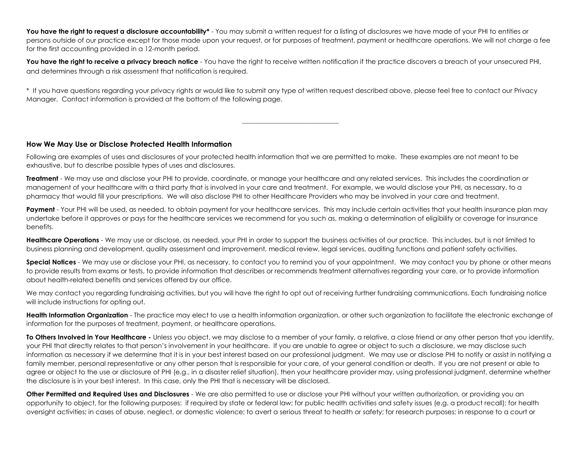You have the right to request a disclosure accountability<sup>\*</sup> - You may submit a written request for a listing of disclosures we have made of your PHI to entities or persons outside of our practice except for those made upon your request, or for purposes of treatment, payment or healthcare operations. We will not charge a fee for the first accounting provided in a 12-month period.

You have the right to receive a privacy breach notice - You have the right to receive written notification if the practice discovers a breach of your unsecured PHI, and determines through a risk assessment that notification is required.

\* If you have questions regarding your privacy rights or would like to submit any type of written request described above, please feel free to contact our Privacy Manager. Contact information is provided at the bottom of the following page.

**\_\_\_\_\_\_\_\_\_\_\_\_\_\_\_\_\_\_\_\_\_\_\_\_\_\_\_\_\_\_\_\_\_**

#### **How We May Use or Disclose Protected Health Information**

Following are examples of uses and disclosures of your protected health information that we are permitted to make. These examples are not meant to be exhaustive, but to describe possible types of uses and disclosures.

**Treatment** - We may use and disclose your PHI to provide, coordinate, or manage your healthcare and any related services. This includes the coordination or management of your healthcare with a third party that is involved in your care and treatment. For example, we would disclose your PHI, as necessary, to a pharmacy that would fill your prescriptions. We will also disclose PHI to other Healthcare Providers who may be involved in your care and treatment.

**Payment** - Your PHI will be used, as needed, to obtain payment for your healthcare services. This may include certain activities that your health insurance plan may undertake before it approves or pays for the healthcare services we recommend for you such as, making a determination of eligibility or coverage for insurance benefits.

**Healthcare Operations** - We may use or disclose, as needed, your PHI in order to support the business activities of our practice. This includes, but is not limited to business planning and development, quality assessment and improvement, medical review, legal services, auditing functions and patient safety activities.

**Special Notices** - We may use or disclose your PHI, as necessary, to contact you to remind you of your appointment. We may contact you by phone or other means to provide results from exams or tests, to provide information that describes or recommends treatment alternatives regarding your care, or to provide information about health-related benefits and services offered by our office.

We may contact you regarding fundraising activities, but you will have the right to opt out of receiving further fundraising communications. Each fundraising notice will include instructions for opting out.

**Health Information Organization** - The practice may elect to use a health information organization, or other such organization to facilitate the electronic exchange of information for the purposes of treatment, payment, or healthcare operations.

**To Others Involved in Your Healthcare -** Unless you object, we may disclose to a member of your family, a relative, a close friend or any other person that you identify, your PHI that directly relates to that person's involvement in your healthcare. If you are unable to agree or object to such a disclosure, we may disclose such information as necessary if we determine that it is in your best interest based on our professional judgment. We may use or disclose PHI to notify or assist in notifying a family member, personal representative or any other person that is responsible for your care, of your general condition or death. If you are not present or able to agree or object to the use or disclosure of PHI (e.g., in a disaster relief situation), then your healthcare provider may, using professional judgment, determine whether the disclosure is in your best interest. In this case, only the PHI that is necessary will be disclosed.

**Other Permitted and Required Uses and Disclosures** - We are also permitted to use or disclose your PHI without your written authorization, or providing you an opportunity to object, for the following purposes: if required by state or federal law; for public health activities and safety issues (e.g. a product recall); for health oversight activities; in cases of abuse, neglect, or domestic violence; to avert a serious threat to health or safety; for research purposes; in response to a court or